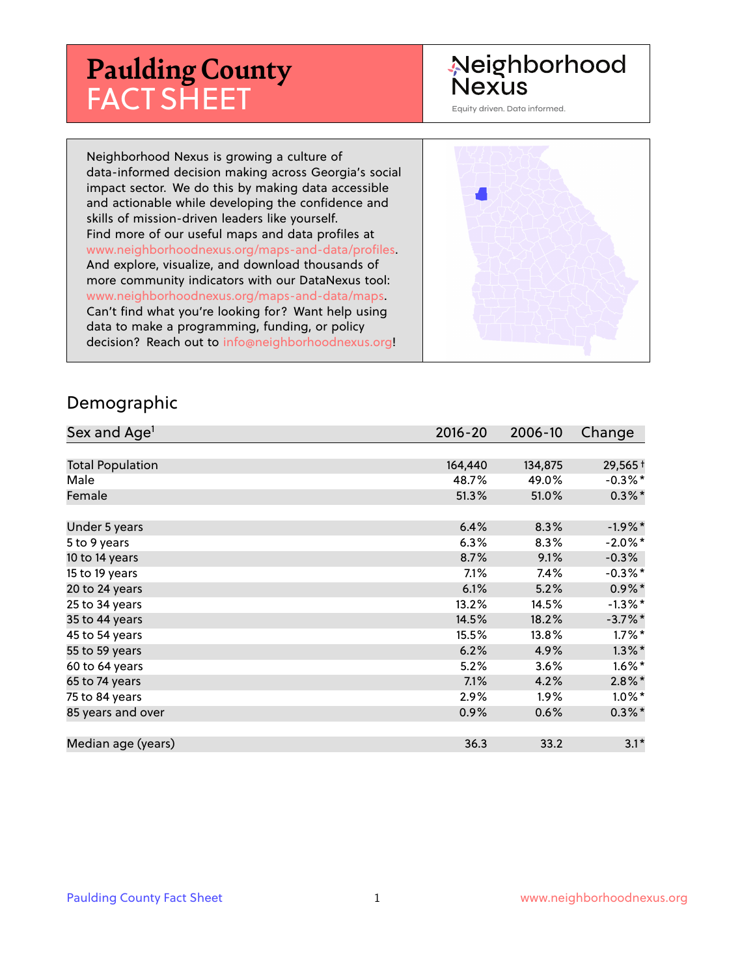# **Paulding County** FACT SHEET

# Neighborhood **Nexus**

Equity driven. Data informed.

Neighborhood Nexus is growing a culture of data-informed decision making across Georgia's social impact sector. We do this by making data accessible and actionable while developing the confidence and skills of mission-driven leaders like yourself. Find more of our useful maps and data profiles at www.neighborhoodnexus.org/maps-and-data/profiles. And explore, visualize, and download thousands of more community indicators with our DataNexus tool: www.neighborhoodnexus.org/maps-and-data/maps. Can't find what you're looking for? Want help using data to make a programming, funding, or policy decision? Reach out to [info@neighborhoodnexus.org!](mailto:info@neighborhoodnexus.org)



#### Demographic

| Sex and Age <sup>1</sup> | $2016 - 20$ | 2006-10 | Change     |
|--------------------------|-------------|---------|------------|
|                          |             |         |            |
| <b>Total Population</b>  | 164,440     | 134,875 | 29,565+    |
| Male                     | 48.7%       | 49.0%   | $-0.3\%$ * |
| Female                   | 51.3%       | 51.0%   | $0.3\%$ *  |
|                          |             |         |            |
| Under 5 years            | 6.4%        | 8.3%    | $-1.9\%$ * |
| 5 to 9 years             | 6.3%        | 8.3%    | $-2.0\%$ * |
| 10 to 14 years           | 8.7%        | 9.1%    | $-0.3\%$   |
| 15 to 19 years           | 7.1%        | 7.4%    | $-0.3\%$ * |
| 20 to 24 years           | 6.1%        | 5.2%    | $0.9\%*$   |
| 25 to 34 years           | 13.2%       | 14.5%   | $-1.3\%$ * |
| 35 to 44 years           | 14.5%       | 18.2%   | $-3.7\%$ * |
| 45 to 54 years           | 15.5%       | 13.8%   | $1.7\%$ *  |
| 55 to 59 years           | 6.2%        | 4.9%    | $1.3\%$ *  |
| 60 to 64 years           | 5.2%        | 3.6%    | $1.6\%$ *  |
| 65 to 74 years           | 7.1%        | 4.2%    | $2.8\%$ *  |
| 75 to 84 years           | 2.9%        | $1.9\%$ | $1.0\%$ *  |
| 85 years and over        | 0.9%        | 0.6%    | $0.3\% *$  |
|                          |             |         |            |
| Median age (years)       | 36.3        | 33.2    | $3.1*$     |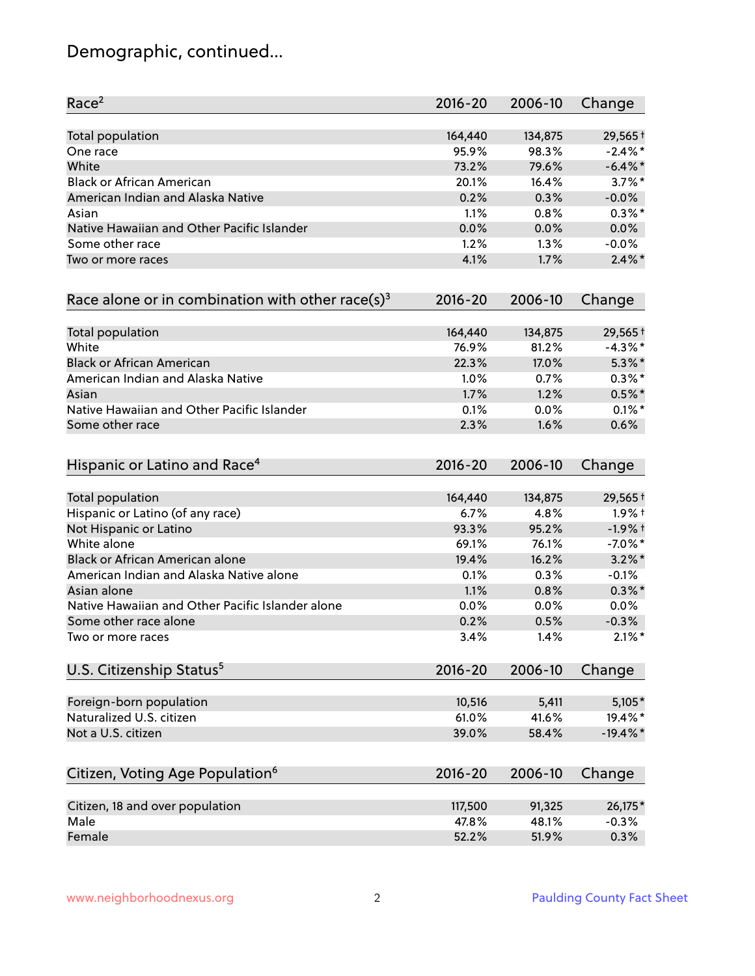# Demographic, continued...

| Race <sup>2</sup>                                   | $2016 - 20$ | 2006-10 | Change      |
|-----------------------------------------------------|-------------|---------|-------------|
| <b>Total population</b>                             | 164,440     | 134,875 | 29,565 +    |
| One race                                            | 95.9%       | 98.3%   | $-2.4\%$ *  |
| White                                               | 73.2%       | 79.6%   | $-6.4\%$ *  |
| <b>Black or African American</b>                    | 20.1%       | 16.4%   | $3.7\%$ *   |
| American Indian and Alaska Native                   | 0.2%        | 0.3%    | $-0.0%$     |
| Asian                                               | 1.1%        | 0.8%    | $0.3\%$ *   |
| Native Hawaiian and Other Pacific Islander          | 0.0%        | 0.0%    | 0.0%        |
| Some other race                                     | 1.2%        | 1.3%    | $-0.0%$     |
| Two or more races                                   | 4.1%        | 1.7%    | $2.4\%$ *   |
| Race alone or in combination with other race(s) $3$ | $2016 - 20$ | 2006-10 | Change      |
| Total population                                    | 164,440     | 134,875 | 29,565 +    |
| White                                               | 76.9%       | 81.2%   | $-4.3\%$ *  |
| <b>Black or African American</b>                    | 22.3%       | 17.0%   | $5.3\%$ *   |
| American Indian and Alaska Native                   | 1.0%        | 0.7%    | $0.3\%$ *   |
| Asian                                               | 1.7%        | 1.2%    | $0.5%$ *    |
| Native Hawaiian and Other Pacific Islander          | 0.1%        | 0.0%    | $0.1\%$ *   |
| Some other race                                     | 2.3%        | 1.6%    | 0.6%        |
| Hispanic or Latino and Race <sup>4</sup>            | $2016 - 20$ | 2006-10 | Change      |
| <b>Total population</b>                             | 164,440     | 134,875 | $29,565+$   |
| Hispanic or Latino (of any race)                    | 6.7%        | 4.8%    | $1.9%$ †    |
| Not Hispanic or Latino                              | 93.3%       | 95.2%   | $-1.9%$ +   |
| White alone                                         | 69.1%       | 76.1%   | $-7.0\%$ *  |
| Black or African American alone                     | 19.4%       | 16.2%   | $3.2\%$ *   |
| American Indian and Alaska Native alone             | 0.1%        | 0.3%    | $-0.1%$     |
| Asian alone                                         | 1.1%        | 0.8%    | $0.3\%$ *   |
| Native Hawaiian and Other Pacific Islander alone    | 0.0%        | 0.0%    | 0.0%        |
| Some other race alone                               | 0.2%        | 0.5%    | $-0.3%$     |
| Two or more races                                   | 3.4%        | 1.4%    | $2.1\%$ *   |
| U.S. Citizenship Status <sup>5</sup>                | $2016 - 20$ | 2006-10 | Change      |
| Foreign-born population                             | 10,516      | 5,411   | $5,105*$    |
| Naturalized U.S. citizen                            | 61.0%       | 41.6%   | 19.4%*      |
| Not a U.S. citizen                                  | 39.0%       | 58.4%   | $-19.4\%$ * |
| Citizen, Voting Age Population <sup>6</sup>         | $2016 - 20$ | 2006-10 | Change      |
|                                                     |             |         |             |
| Citizen, 18 and over population                     | 117,500     | 91,325  | 26,175*     |
| Male                                                | 47.8%       | 48.1%   | $-0.3%$     |
| Female                                              | 52.2%       | 51.9%   | 0.3%        |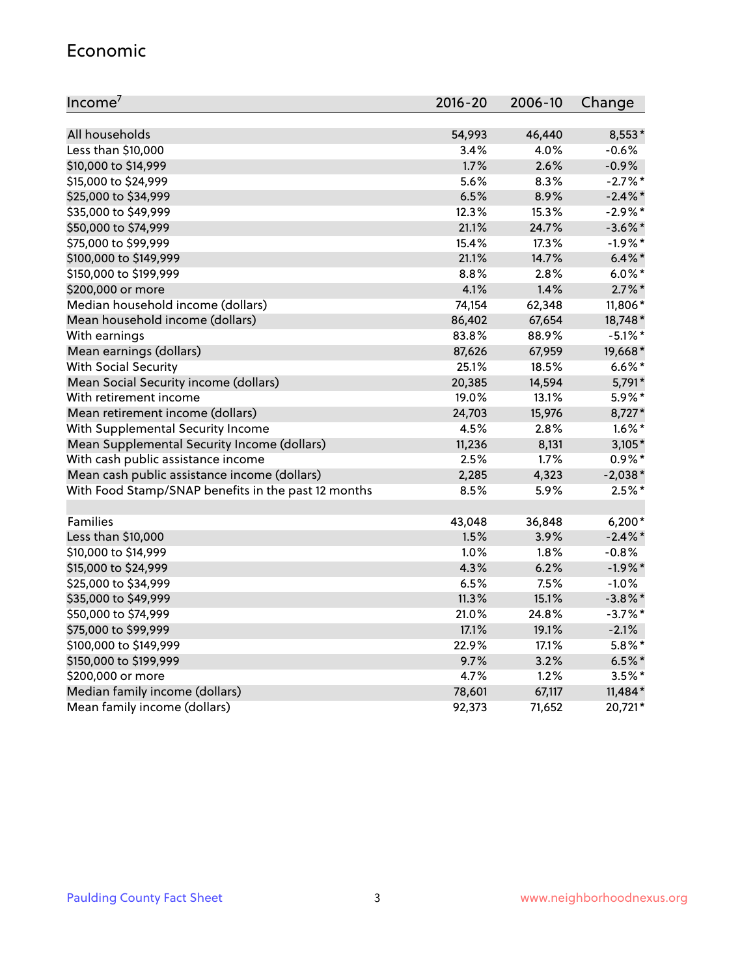#### Economic

| Income <sup>7</sup>                                 | $2016 - 20$ | 2006-10 | Change     |
|-----------------------------------------------------|-------------|---------|------------|
|                                                     |             |         |            |
| All households                                      | 54,993      | 46,440  | 8,553*     |
| Less than \$10,000                                  | 3.4%        | 4.0%    | $-0.6%$    |
| \$10,000 to \$14,999                                | 1.7%        | 2.6%    | $-0.9%$    |
| \$15,000 to \$24,999                                | 5.6%        | 8.3%    | $-2.7%$ *  |
| \$25,000 to \$34,999                                | 6.5%        | 8.9%    | $-2.4\%$ * |
| \$35,000 to \$49,999                                | 12.3%       | 15.3%   | $-2.9\%$ * |
| \$50,000 to \$74,999                                | 21.1%       | 24.7%   | $-3.6\%$ * |
| \$75,000 to \$99,999                                | 15.4%       | 17.3%   | $-1.9%$ *  |
| \$100,000 to \$149,999                              | 21.1%       | 14.7%   | $6.4\%$ *  |
| \$150,000 to \$199,999                              | 8.8%        | 2.8%    | $6.0\%$ *  |
| \$200,000 or more                                   | 4.1%        | 1.4%    | $2.7\%$ *  |
| Median household income (dollars)                   | 74,154      | 62,348  | 11,806*    |
| Mean household income (dollars)                     | 86,402      | 67,654  | 18,748*    |
| With earnings                                       | 83.8%       | 88.9%   | $-5.1\%$ * |
| Mean earnings (dollars)                             | 87,626      | 67,959  | 19,668*    |
| <b>With Social Security</b>                         | 25.1%       | 18.5%   | $6.6\%$ *  |
| Mean Social Security income (dollars)               | 20,385      | 14,594  | 5,791*     |
| With retirement income                              | 19.0%       | 13.1%   | 5.9%*      |
| Mean retirement income (dollars)                    | 24,703      | 15,976  | 8,727*     |
| With Supplemental Security Income                   | 4.5%        | 2.8%    | $1.6\%$ *  |
| Mean Supplemental Security Income (dollars)         | 11,236      | 8,131   | $3,105*$   |
| With cash public assistance income                  | 2.5%        | 1.7%    | $0.9\% *$  |
| Mean cash public assistance income (dollars)        | 2,285       | 4,323   | $-2,038*$  |
| With Food Stamp/SNAP benefits in the past 12 months | 8.5%        | 5.9%    | $2.5%$ *   |
|                                                     |             |         |            |
| Families                                            | 43,048      | 36,848  | $6,200*$   |
| Less than \$10,000                                  | 1.5%        | 3.9%    | $-2.4\%$ * |
| \$10,000 to \$14,999                                | 1.0%        | 1.8%    | $-0.8%$    |
| \$15,000 to \$24,999                                | 4.3%        | 6.2%    | $-1.9%$ *  |
| \$25,000 to \$34,999                                | 6.5%        | 7.5%    | $-1.0%$    |
| \$35,000 to \$49,999                                | 11.3%       | 15.1%   | $-3.8\%$ * |
| \$50,000 to \$74,999                                | 21.0%       | 24.8%   | $-3.7\%$ * |
| \$75,000 to \$99,999                                | 17.1%       | 19.1%   | $-2.1%$    |
| \$100,000 to \$149,999                              | 22.9%       | 17.1%   | $5.8\%$ *  |
| \$150,000 to \$199,999                              | 9.7%        | 3.2%    | $6.5%$ *   |
| \$200,000 or more                                   | 4.7%        | 1.2%    | $3.5%$ *   |
| Median family income (dollars)                      | 78,601      | 67,117  | $11,484*$  |
| Mean family income (dollars)                        | 92,373      | 71,652  | 20,721*    |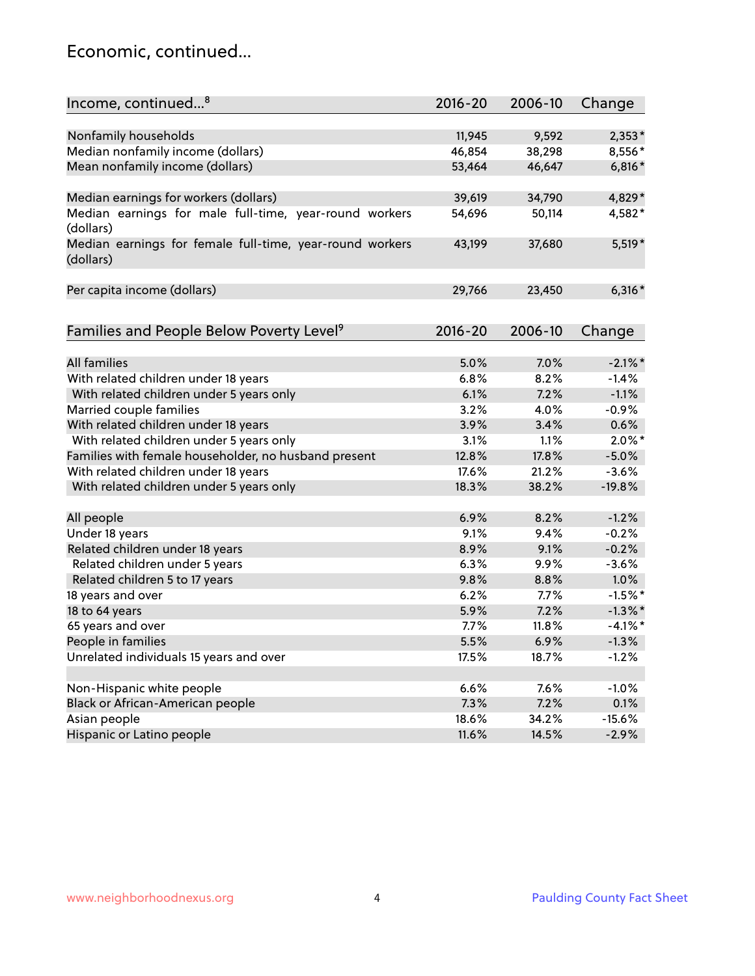#### Economic, continued...

| Income, continued <sup>8</sup>                                        | $2016 - 20$ | 2006-10 | Change     |
|-----------------------------------------------------------------------|-------------|---------|------------|
|                                                                       |             |         |            |
| Nonfamily households                                                  | 11,945      | 9,592   | $2,353*$   |
| Median nonfamily income (dollars)                                     | 46,854      | 38,298  | 8,556*     |
| Mean nonfamily income (dollars)                                       | 53,464      | 46,647  | $6,816*$   |
| Median earnings for workers (dollars)                                 | 39,619      | 34,790  | 4,829*     |
| Median earnings for male full-time, year-round workers                | 54,696      | 50,114  | 4,582*     |
| (dollars)                                                             |             |         |            |
| Median earnings for female full-time, year-round workers<br>(dollars) | 43,199      | 37,680  | $5,519*$   |
| Per capita income (dollars)                                           | 29,766      | 23,450  | $6,316*$   |
|                                                                       |             |         |            |
| Families and People Below Poverty Level <sup>9</sup>                  | $2016 - 20$ | 2006-10 | Change     |
|                                                                       |             |         |            |
| <b>All families</b>                                                   | 5.0%        | 7.0%    | $-2.1\%$ * |
| With related children under 18 years                                  | 6.8%        | 8.2%    | $-1.4%$    |
| With related children under 5 years only                              | 6.1%        | 7.2%    | $-1.1%$    |
| Married couple families                                               | 3.2%        | 4.0%    | $-0.9%$    |
| With related children under 18 years                                  | 3.9%        | 3.4%    | 0.6%       |
| With related children under 5 years only                              | 3.1%        | 1.1%    | $2.0\%$ *  |
| Families with female householder, no husband present                  | 12.8%       | 17.8%   | $-5.0%$    |
| With related children under 18 years                                  | 17.6%       | 21.2%   | $-3.6%$    |
| With related children under 5 years only                              | 18.3%       | 38.2%   | $-19.8%$   |
|                                                                       |             |         |            |
| All people                                                            | 6.9%        | 8.2%    | $-1.2%$    |
| Under 18 years                                                        | 9.1%        | 9.4%    | $-0.2%$    |
| Related children under 18 years                                       | 8.9%        | 9.1%    | $-0.2%$    |
| Related children under 5 years                                        | 6.3%        | 9.9%    | $-3.6%$    |
| Related children 5 to 17 years                                        | 9.8%        | 8.8%    | 1.0%       |
| 18 years and over                                                     | 6.2%        | 7.7%    | $-1.5%$ *  |
| 18 to 64 years                                                        | 5.9%        | 7.2%    | $-1.3\%$ * |
| 65 years and over                                                     | 7.7%        | 11.8%   | $-4.1%$ *  |
| People in families                                                    | 5.5%        | 6.9%    | $-1.3%$    |
| Unrelated individuals 15 years and over                               | 17.5%       | 18.7%   | $-1.2%$    |
|                                                                       |             |         |            |
| Non-Hispanic white people                                             | 6.6%        | 7.6%    | $-1.0%$    |
| Black or African-American people                                      | 7.3%        | 7.2%    | 0.1%       |
| Asian people                                                          | 18.6%       | 34.2%   | $-15.6%$   |
| Hispanic or Latino people                                             | 11.6%       | 14.5%   | $-2.9%$    |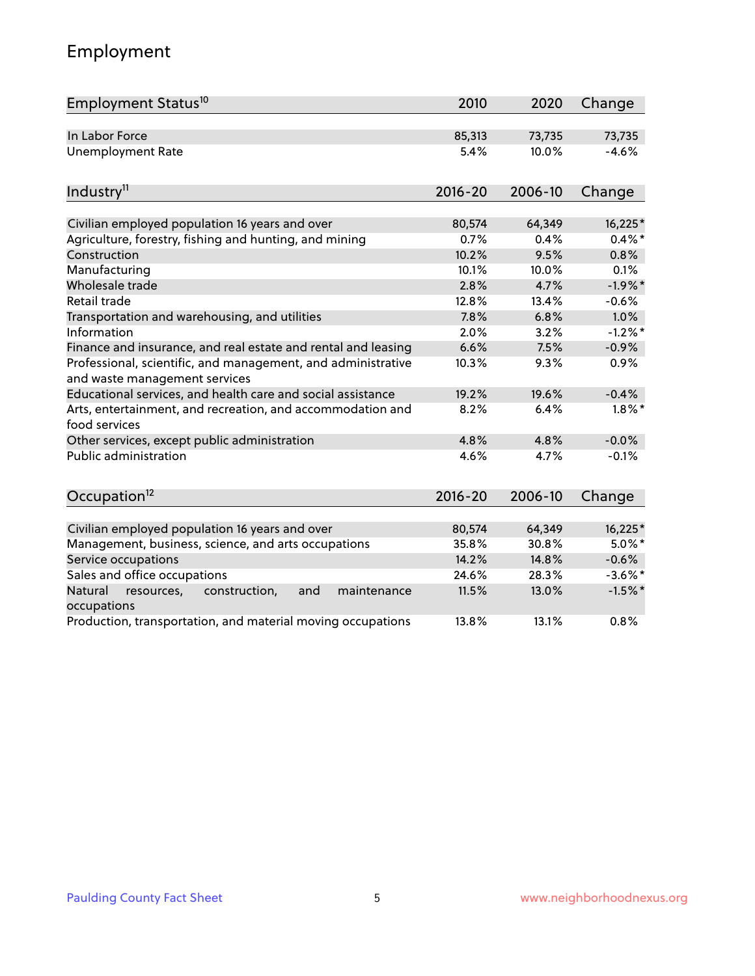# Employment

| Employment Status <sup>10</sup>                                                               | 2010        | 2020    | Change     |
|-----------------------------------------------------------------------------------------------|-------------|---------|------------|
| In Labor Force                                                                                | 85,313      | 73,735  | 73,735     |
| <b>Unemployment Rate</b>                                                                      | 5.4%        | 10.0%   | $-4.6%$    |
| Industry <sup>11</sup>                                                                        | $2016 - 20$ | 2006-10 | Change     |
|                                                                                               |             |         |            |
| Civilian employed population 16 years and over                                                | 80,574      | 64,349  | 16,225*    |
| Agriculture, forestry, fishing and hunting, and mining                                        | 0.7%        | 0.4%    | $0.4\%$ *  |
| Construction                                                                                  | 10.2%       | 9.5%    | 0.8%       |
| Manufacturing                                                                                 | 10.1%       | 10.0%   | 0.1%       |
| Wholesale trade                                                                               | 2.8%        | 4.7%    | $-1.9%$ *  |
| Retail trade                                                                                  | 12.8%       | 13.4%   | $-0.6%$    |
| Transportation and warehousing, and utilities                                                 | 7.8%        | 6.8%    | 1.0%       |
| Information                                                                                   | 2.0%        | 3.2%    | $-1.2%$ *  |
| Finance and insurance, and real estate and rental and leasing                                 | 6.6%        | 7.5%    | $-0.9%$    |
| Professional, scientific, and management, and administrative<br>and waste management services | 10.3%       | 9.3%    | 0.9%       |
| Educational services, and health care and social assistance                                   | 19.2%       | 19.6%   | $-0.4%$    |
| Arts, entertainment, and recreation, and accommodation and<br>food services                   | 8.2%        | 6.4%    | $1.8\%$ *  |
| Other services, except public administration                                                  | 4.8%        | 4.8%    | $-0.0%$    |
| Public administration                                                                         | 4.6%        | 4.7%    | $-0.1%$    |
| Occupation <sup>12</sup>                                                                      | $2016 - 20$ | 2006-10 | Change     |
|                                                                                               |             |         |            |
| Civilian employed population 16 years and over                                                | 80,574      | 64,349  | 16,225*    |
| Management, business, science, and arts occupations                                           | 35.8%       | 30.8%   | $5.0\%$ *  |
| Service occupations                                                                           | 14.2%       | 14.8%   | $-0.6%$    |
| Sales and office occupations                                                                  | 24.6%       | 28.3%   | $-3.6\%$ * |
| Natural<br>construction,<br>and<br>maintenance<br>resources,<br>occupations                   | 11.5%       | 13.0%   | $-1.5%$ *  |
| Production, transportation, and material moving occupations                                   | 13.8%       | 13.1%   | 0.8%       |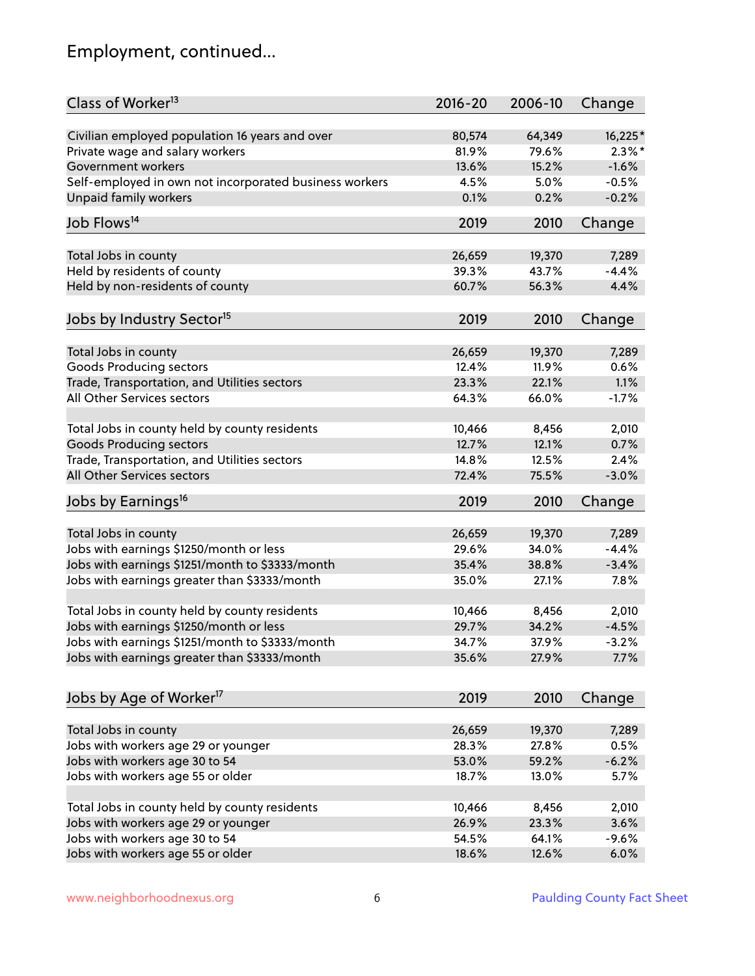# Employment, continued...

| Class of Worker <sup>13</sup>                          | $2016 - 20$ | 2006-10 | Change    |
|--------------------------------------------------------|-------------|---------|-----------|
| Civilian employed population 16 years and over         | 80,574      | 64,349  | $16,225*$ |
| Private wage and salary workers                        | 81.9%       | 79.6%   | $2.3\%$ * |
| Government workers                                     | 13.6%       | 15.2%   | $-1.6%$   |
| Self-employed in own not incorporated business workers | 4.5%        | 5.0%    | $-0.5%$   |
| Unpaid family workers                                  | 0.1%        | 0.2%    | $-0.2%$   |
| Job Flows <sup>14</sup>                                | 2019        | 2010    | Change    |
|                                                        |             |         |           |
| Total Jobs in county                                   | 26,659      | 19,370  | 7,289     |
| Held by residents of county                            | 39.3%       | 43.7%   | $-4.4%$   |
| Held by non-residents of county                        | 60.7%       | 56.3%   | 4.4%      |
| Jobs by Industry Sector <sup>15</sup>                  | 2019        | 2010    | Change    |
| Total Jobs in county                                   | 26,659      | 19,370  | 7,289     |
| Goods Producing sectors                                | 12.4%       | 11.9%   | 0.6%      |
| Trade, Transportation, and Utilities sectors           | 23.3%       | 22.1%   | 1.1%      |
| All Other Services sectors                             | 64.3%       | 66.0%   | $-1.7%$   |
|                                                        |             |         |           |
| Total Jobs in county held by county residents          | 10,466      | 8,456   | 2,010     |
| <b>Goods Producing sectors</b>                         | 12.7%       | 12.1%   | 0.7%      |
| Trade, Transportation, and Utilities sectors           | 14.8%       | 12.5%   | 2.4%      |
| All Other Services sectors                             | 72.4%       | 75.5%   | $-3.0%$   |
| Jobs by Earnings <sup>16</sup>                         | 2019        | 2010    | Change    |
| Total Jobs in county                                   | 26,659      | 19,370  | 7,289     |
| Jobs with earnings \$1250/month or less                | 29.6%       | 34.0%   | $-4.4%$   |
|                                                        | 35.4%       | 38.8%   | $-3.4%$   |
| Jobs with earnings \$1251/month to \$3333/month        |             | 27.1%   | 7.8%      |
| Jobs with earnings greater than \$3333/month           | 35.0%       |         |           |
| Total Jobs in county held by county residents          | 10,466      | 8,456   | 2,010     |
| Jobs with earnings \$1250/month or less                | 29.7%       | 34.2%   | $-4.5%$   |
| Jobs with earnings \$1251/month to \$3333/month        | 34.7%       | 37.9%   | $-3.2\%$  |
| Jobs with earnings greater than \$3333/month           | 35.6%       | 27.9%   | 7.7%      |
|                                                        |             |         |           |
| Jobs by Age of Worker <sup>17</sup>                    | 2019        | 2010    | Change    |
| Total Jobs in county                                   | 26,659      | 19,370  | 7,289     |
| Jobs with workers age 29 or younger                    | 28.3%       | 27.8%   | 0.5%      |
| Jobs with workers age 30 to 54                         | 53.0%       | 59.2%   | $-6.2%$   |
| Jobs with workers age 55 or older                      | 18.7%       | 13.0%   | 5.7%      |
|                                                        |             |         |           |
| Total Jobs in county held by county residents          | 10,466      | 8,456   | 2,010     |
| Jobs with workers age 29 or younger                    | 26.9%       | 23.3%   | 3.6%      |
| Jobs with workers age 30 to 54                         | 54.5%       | 64.1%   | $-9.6%$   |
| Jobs with workers age 55 or older                      | 18.6%       | 12.6%   | 6.0%      |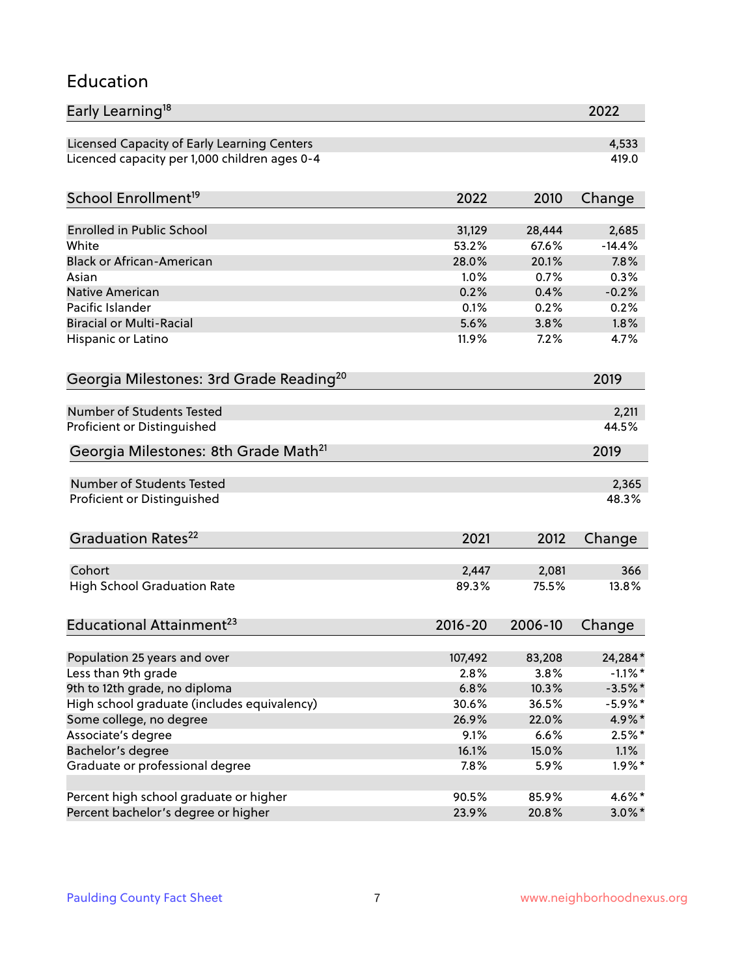#### Education

| Early Learning <sup>18</sup>                        |             |         | 2022       |
|-----------------------------------------------------|-------------|---------|------------|
| Licensed Capacity of Early Learning Centers         |             |         | 4,533      |
| Licenced capacity per 1,000 children ages 0-4       |             |         | 419.0      |
| School Enrollment <sup>19</sup>                     | 2022        | 2010    | Change     |
|                                                     |             |         |            |
| <b>Enrolled in Public School</b>                    | 31,129      | 28,444  | 2,685      |
| White                                               | 53.2%       | 67.6%   | $-14.4%$   |
| <b>Black or African-American</b>                    | 28.0%       | 20.1%   | 7.8%       |
| Asian                                               | 1.0%        | 0.7%    | 0.3%       |
| Native American                                     | 0.2%        | 0.4%    | $-0.2%$    |
| Pacific Islander                                    | 0.1%        | 0.2%    | 0.2%       |
| <b>Biracial or Multi-Racial</b>                     | 5.6%        | 3.8%    | 1.8%       |
| Hispanic or Latino                                  | 11.9%       | 7.2%    | 4.7%       |
| Georgia Milestones: 3rd Grade Reading <sup>20</sup> |             |         | 2019       |
|                                                     |             |         |            |
| <b>Number of Students Tested</b>                    |             |         | 2,211      |
| Proficient or Distinguished                         |             |         | 44.5%      |
| Georgia Milestones: 8th Grade Math <sup>21</sup>    |             |         | 2019       |
| Number of Students Tested                           |             |         | 2,365      |
| Proficient or Distinguished                         |             |         | 48.3%      |
|                                                     |             |         |            |
| Graduation Rates <sup>22</sup>                      | 2021        | 2012    | Change     |
|                                                     |             |         |            |
| Cohort                                              | 2,447       | 2,081   | 366        |
| <b>High School Graduation Rate</b>                  | 89.3%       | 75.5%   | 13.8%      |
| Educational Attainment <sup>23</sup>                | $2016 - 20$ | 2006-10 | Change     |
| Population 25 years and over                        | 107,492     | 83,208  | 24,284*    |
| Less than 9th grade                                 | 2.8%        | 3.8%    | $-1.1\%$ * |
| 9th to 12th grade, no diploma                       | 6.8%        | 10.3%   | $-3.5%$ *  |
| High school graduate (includes equivalency)         | 30.6%       | 36.5%   | $-5.9\%$ * |
| Some college, no degree                             | 26.9%       | 22.0%   | 4.9%*      |
| Associate's degree                                  | 9.1%        | 6.6%    | $2.5%$ *   |
| Bachelor's degree                                   | 16.1%       | 15.0%   | 1.1%       |
| Graduate or professional degree                     | 7.8%        | 5.9%    | $1.9\%$ *  |
|                                                     |             |         |            |
| Percent high school graduate or higher              | 90.5%       | 85.9%   | 4.6%*      |
| Percent bachelor's degree or higher                 | 23.9%       | 20.8%   | $3.0\%$ *  |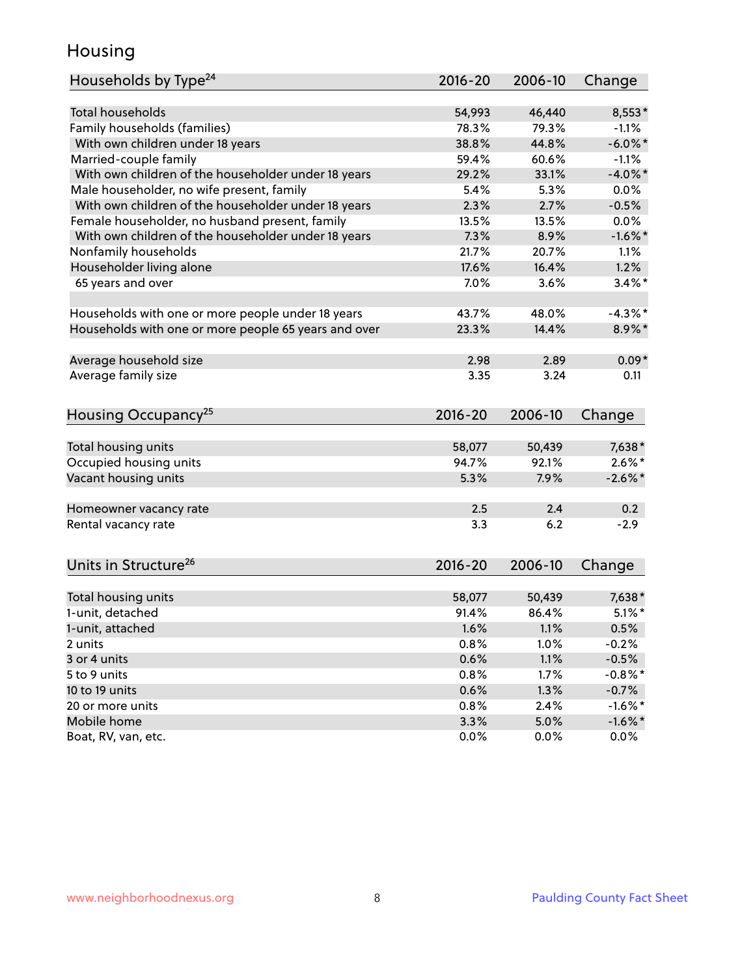#### Housing

| Households by Type <sup>24</sup>                     | 2016-20     | 2006-10 | Change     |
|------------------------------------------------------|-------------|---------|------------|
| <b>Total households</b>                              | 54,993      | 46,440  | 8,553*     |
| Family households (families)                         | 78.3%       | 79.3%   | $-1.1%$    |
| With own children under 18 years                     | 38.8%       | 44.8%   | $-6.0\%$ * |
| Married-couple family                                | 59.4%       | 60.6%   | $-1.1%$    |
| With own children of the householder under 18 years  | 29.2%       | 33.1%   | $-4.0\%$ * |
| Male householder, no wife present, family            | 5.4%        | 5.3%    | $0.0\%$    |
| With own children of the householder under 18 years  | 2.3%        | 2.7%    | $-0.5%$    |
| Female householder, no husband present, family       | 13.5%       | 13.5%   | 0.0%       |
| With own children of the householder under 18 years  | 7.3%        | 8.9%    | $-1.6\%$ * |
| Nonfamily households                                 | 21.7%       | 20.7%   | 1.1%       |
|                                                      | 17.6%       |         | 1.2%       |
| Householder living alone                             | 7.0%        | 16.4%   | $3.4\%$ *  |
| 65 years and over                                    |             | 3.6%    |            |
| Households with one or more people under 18 years    | 43.7%       | 48.0%   | $-4.3\%$ * |
| Households with one or more people 65 years and over | 23.3%       | 14.4%   | 8.9%*      |
|                                                      |             |         |            |
| Average household size                               | 2.98        | 2.89    | $0.09*$    |
| Average family size                                  | 3.35        | 3.24    | 0.11       |
|                                                      |             |         |            |
| Housing Occupancy <sup>25</sup>                      | $2016 - 20$ | 2006-10 | Change     |
| Total housing units                                  | 58,077      | 50,439  | 7,638*     |
| Occupied housing units                               | 94.7%       | 92.1%   | $2.6\%$ *  |
| Vacant housing units                                 | 5.3%        | 7.9%    | $-2.6\%$ * |
|                                                      |             |         |            |
| Homeowner vacancy rate                               | 2.5         | 2.4     | 0.2        |
| Rental vacancy rate                                  | 3.3         | 6.2     | $-2.9$     |
|                                                      |             |         |            |
| Units in Structure <sup>26</sup>                     | 2016-20     | 2006-10 | Change     |
|                                                      |             |         |            |
| Total housing units                                  | 58,077      | 50,439  | 7,638*     |
| 1-unit, detached                                     | 91.4%       | 86.4%   | $5.1\%$ *  |
| 1-unit, attached                                     | 1.6%        | $1.1\%$ | 0.5%       |
| 2 units                                              | 0.8%        | 1.0%    | $-0.2%$    |
| 3 or 4 units                                         | 0.6%        | 1.1%    | $-0.5%$    |
| 5 to 9 units                                         | 0.8%        | 1.7%    | $-0.8\%$ * |
| 10 to 19 units                                       | 0.6%        | 1.3%    | $-0.7%$    |
| 20 or more units                                     | 0.8%        | 2.4%    | $-1.6\%$ * |
| Mobile home                                          | 3.3%        | 5.0%    | $-1.6\%$ * |
| Boat, RV, van, etc.                                  | 0.0%        | 0.0%    | $0.0\%$    |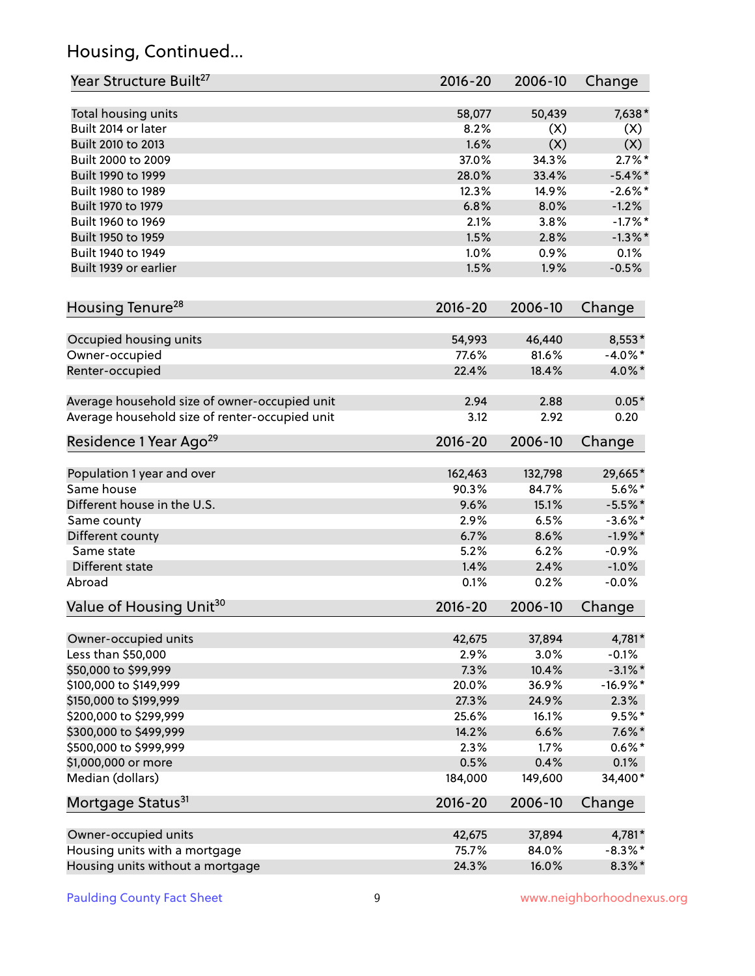# Housing, Continued...

| Year Structure Built <sup>27</sup>             | 2016-20 | 2006-10 | Change     |
|------------------------------------------------|---------|---------|------------|
| Total housing units                            | 58,077  | 50,439  | 7,638*     |
| Built 2014 or later                            | 8.2%    | (X)     | (X)        |
| Built 2010 to 2013                             | 1.6%    | (X)     | (X)        |
| Built 2000 to 2009                             | 37.0%   | 34.3%   | $2.7\%$ *  |
| Built 1990 to 1999                             | 28.0%   | 33.4%   | $-5.4\%$ * |
| Built 1980 to 1989                             | 12.3%   | 14.9%   | $-2.6\%$ * |
| Built 1970 to 1979                             | 6.8%    | 8.0%    | $-1.2%$    |
| Built 1960 to 1969                             | 2.1%    | 3.8%    | $-1.7%$ *  |
| Built 1950 to 1959                             | 1.5%    | 2.8%    | $-1.3\%$ * |
| Built 1940 to 1949                             | 1.0%    | 0.9%    | 0.1%       |
| Built 1939 or earlier                          | 1.5%    | 1.9%    | $-0.5%$    |
| Housing Tenure <sup>28</sup>                   | 2016-20 | 2006-10 | Change     |
|                                                |         |         |            |
| Occupied housing units                         | 54,993  | 46,440  | 8,553*     |
| Owner-occupied                                 | 77.6%   | 81.6%   | $-4.0\%$ * |
| Renter-occupied                                | 22.4%   | 18.4%   | 4.0%*      |
| Average household size of owner-occupied unit  | 2.94    | 2.88    | $0.05*$    |
| Average household size of renter-occupied unit | 3.12    | 2.92    | 0.20       |
| Residence 1 Year Ago <sup>29</sup>             | 2016-20 | 2006-10 | Change     |
| Population 1 year and over                     | 162,463 | 132,798 | 29,665*    |
| Same house                                     | 90.3%   | 84.7%   | $5.6\%$ *  |
| Different house in the U.S.                    | 9.6%    | 15.1%   | $-5.5%$ *  |
| Same county                                    | 2.9%    | 6.5%    | $-3.6\%$ * |
| Different county                               | 6.7%    | 8.6%    | $-1.9%$ *  |
| Same state                                     | 5.2%    | 6.2%    | $-0.9%$    |
| Different state                                | 1.4%    | 2.4%    | $-1.0%$    |
| Abroad                                         | 0.1%    | 0.2%    | $-0.0%$    |
| Value of Housing Unit <sup>30</sup>            | 2016-20 | 2006-10 | Change     |
|                                                |         |         |            |
| Owner-occupied units                           | 42,675  | 37,894  | 4,781*     |
| Less than \$50,000                             | 2.9%    | 3.0%    | $-0.1%$    |
| \$50,000 to \$99,999                           | 7.3%    | 10.4%   | $-3.1\%$ * |
| \$100,000 to \$149,999                         | 20.0%   | 36.9%   | $-16.9%$ * |
| \$150,000 to \$199,999                         | 27.3%   | 24.9%   | 2.3%       |
| \$200,000 to \$299,999                         | 25.6%   | 16.1%   | $9.5%$ *   |
| \$300,000 to \$499,999                         | 14.2%   | 6.6%    | $7.6\%$ *  |
| \$500,000 to \$999,999                         | 2.3%    | 1.7%    | $0.6\%*$   |
| \$1,000,000 or more                            | 0.5%    | 0.4%    | 0.1%       |
| Median (dollars)                               | 184,000 | 149,600 | 34,400*    |
| Mortgage Status <sup>31</sup>                  | 2016-20 | 2006-10 | Change     |
| Owner-occupied units                           | 42,675  | 37,894  | 4,781*     |
| Housing units with a mortgage                  | 75.7%   | 84.0%   | $-8.3\%$ * |
| Housing units without a mortgage               | 24.3%   | 16.0%   | $8.3\%$ *  |
|                                                |         |         |            |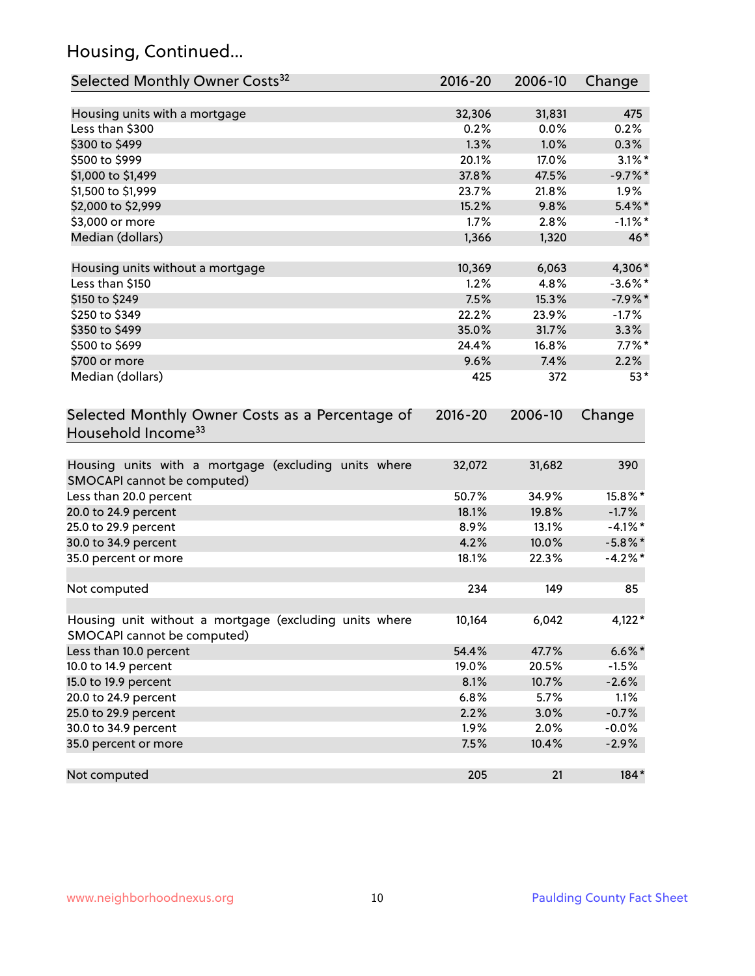# Housing, Continued...

| Selected Monthly Owner Costs <sup>32</sup>                                            | 2016-20     | 2006-10 | Change     |
|---------------------------------------------------------------------------------------|-------------|---------|------------|
| Housing units with a mortgage                                                         | 32,306      | 31,831  | 475        |
| Less than \$300                                                                       | 0.2%        | 0.0%    | 0.2%       |
| \$300 to \$499                                                                        | 1.3%        | 1.0%    | 0.3%       |
| \$500 to \$999                                                                        | 20.1%       | 17.0%   | $3.1\%$ *  |
| \$1,000 to \$1,499                                                                    | 37.8%       | 47.5%   | $-9.7%$ *  |
| \$1,500 to \$1,999                                                                    | 23.7%       | 21.8%   | 1.9%       |
| \$2,000 to \$2,999                                                                    | 15.2%       | 9.8%    | $5.4\%$ *  |
| \$3,000 or more                                                                       | 1.7%        | 2.8%    | $-1.1\%$ * |
| Median (dollars)                                                                      | 1,366       | 1,320   | 46*        |
| Housing units without a mortgage                                                      | 10,369      | 6,063   | 4,306*     |
| Less than \$150                                                                       | 1.2%        | 4.8%    | $-3.6\%$ * |
| \$150 to \$249                                                                        | 7.5%        | 15.3%   | $-7.9%$ *  |
| \$250 to \$349                                                                        | 22.2%       | 23.9%   | $-1.7%$    |
| \$350 to \$499                                                                        | 35.0%       | 31.7%   | 3.3%       |
| \$500 to \$699                                                                        | 24.4%       | 16.8%   | $7.7\%$ *  |
| \$700 or more                                                                         | 9.6%        | 7.4%    | 2.2%       |
| Median (dollars)                                                                      | 425         | 372     | $53*$      |
| Selected Monthly Owner Costs as a Percentage of<br>Household Income <sup>33</sup>     | $2016 - 20$ | 2006-10 | Change     |
| Housing units with a mortgage (excluding units where<br>SMOCAPI cannot be computed)   | 32,072      | 31,682  | 390        |
| Less than 20.0 percent                                                                | 50.7%       | 34.9%   | 15.8%*     |
| 20.0 to 24.9 percent                                                                  | 18.1%       | 19.8%   | $-1.7%$    |
| 25.0 to 29.9 percent                                                                  | 8.9%        | 13.1%   | $-4.1\%$ * |
| 30.0 to 34.9 percent                                                                  | 4.2%        | 10.0%   | $-5.8\%$ * |
| 35.0 percent or more                                                                  | 18.1%       | 22.3%   | $-4.2%$ *  |
| Not computed                                                                          | 234         | 149     | 85         |
| Housing unit without a mortgage (excluding units where<br>SMOCAPI cannot be computed) | 10,164      | 6,042   | 4,122*     |
| Less than 10.0 percent                                                                | 54.4%       | 47.7%   | $6.6\%$ *  |
| 10.0 to 14.9 percent                                                                  | 19.0%       | 20.5%   | $-1.5%$    |
| 15.0 to 19.9 percent                                                                  | 8.1%        | 10.7%   | $-2.6%$    |
| 20.0 to 24.9 percent                                                                  | 6.8%        | 5.7%    | 1.1%       |
| 25.0 to 29.9 percent                                                                  | 2.2%        | 3.0%    | $-0.7%$    |
| 30.0 to 34.9 percent                                                                  | 1.9%        | 2.0%    | $-0.0%$    |
| 35.0 percent or more                                                                  | 7.5%        | 10.4%   | $-2.9%$    |
| Not computed                                                                          | 205         | 21      | 184*       |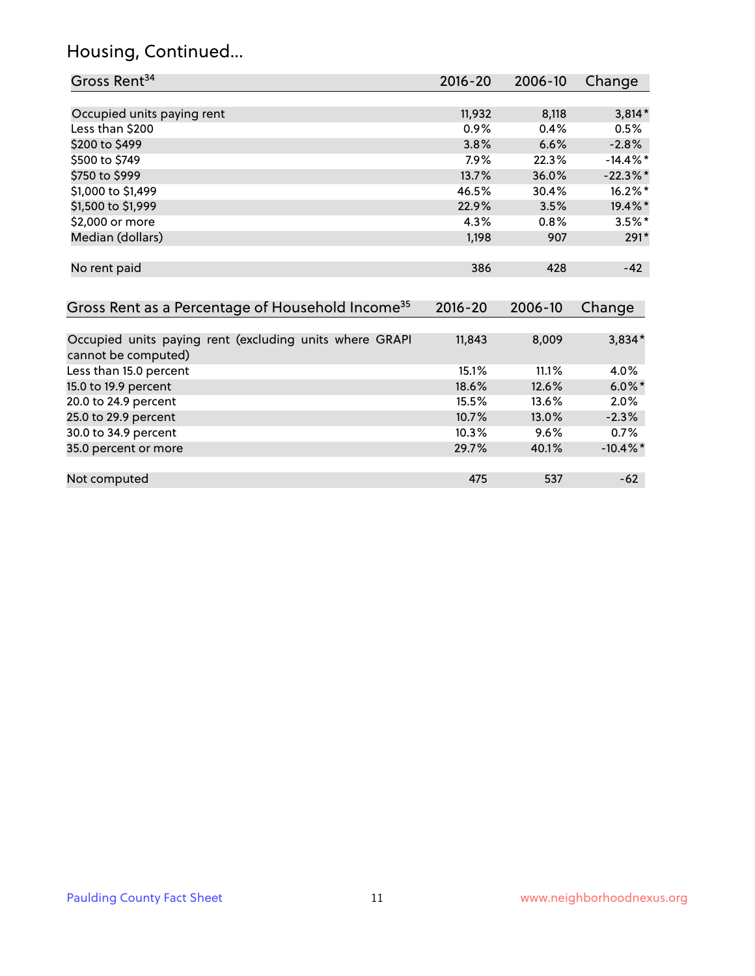# Housing, Continued...

| Gross Rent <sup>34</sup>                                                       | 2016-20     | 2006-10 | Change      |
|--------------------------------------------------------------------------------|-------------|---------|-------------|
|                                                                                |             |         |             |
| Occupied units paying rent                                                     | 11,932      | 8,118   | $3,814*$    |
| Less than \$200                                                                | 0.9%        | 0.4%    | 0.5%        |
| \$200 to \$499                                                                 | 3.8%        | 6.6%    | $-2.8%$     |
| \$500 to \$749                                                                 | 7.9%        | 22.3%   | $-14.4\%$ * |
| \$750 to \$999                                                                 | 13.7%       | 36.0%   | $-22.3\%$ * |
| \$1,000 to \$1,499                                                             | 46.5%       | 30.4%   | 16.2%*      |
| \$1,500 to \$1,999                                                             | 22.9%       | 3.5%    | 19.4%*      |
| \$2,000 or more                                                                | 4.3%        | 0.8%    | $3.5\%$ *   |
| Median (dollars)                                                               | 1,198       | 907     | $291*$      |
| No rent paid                                                                   | 386         | 428     | $-42$       |
| Gross Rent as a Percentage of Household Income <sup>35</sup>                   | $2016 - 20$ | 2006-10 | Change      |
| Occupied units paying rent (excluding units where GRAPI<br>cannot be computed) | 11,843      | 8,009   | $3,834*$    |
| Less than 15.0 percent                                                         | 15.1%       | 11.1%   | 4.0%        |
| 15.0 to 19.9 percent                                                           | 18.6%       | 12.6%   | $6.0\%$ *   |
| 20.0 to 24.9 percent                                                           | 15.5%       | 13.6%   | 2.0%        |
| 25.0 to 29.9 percent                                                           | 10.7%       | 13.0%   | $-2.3%$     |
| 30.0 to 34.9 percent                                                           | 10.3%       | 9.6%    | 0.7%        |
| 35.0 percent or more                                                           | 29.7%       | 40.1%   | $-10.4\%$ * |
| Not computed                                                                   | 475         | 537     | $-62$       |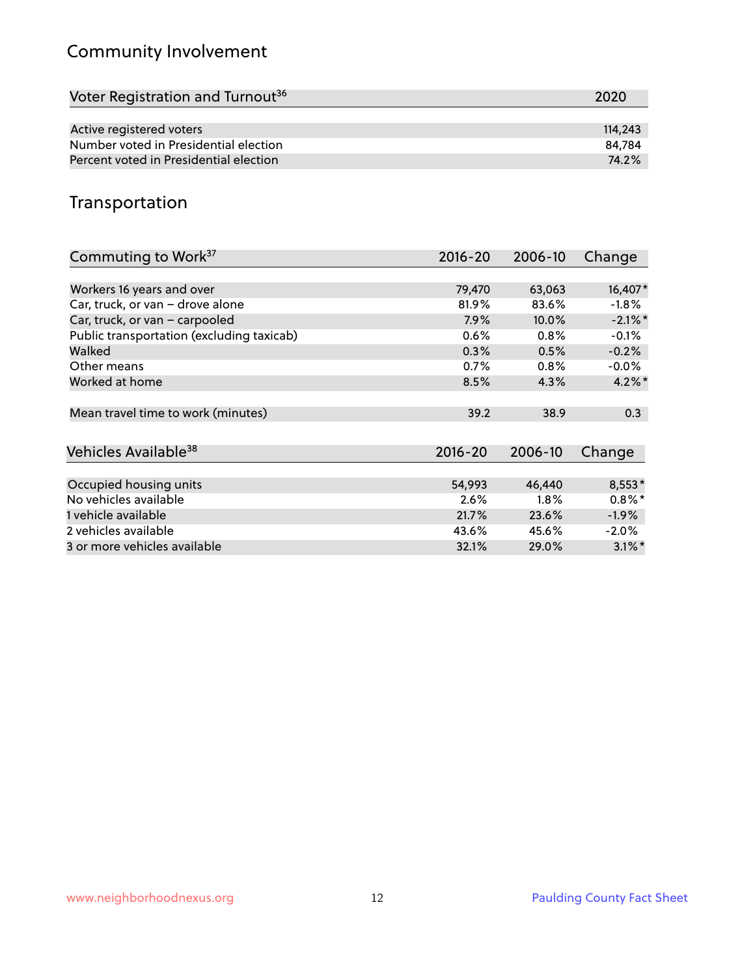# Community Involvement

| Voter Registration and Turnout <sup>36</sup> | 2020    |
|----------------------------------------------|---------|
|                                              |         |
| Active registered voters                     | 114,243 |
| Number voted in Presidential election        | 84.784  |
| Percent voted in Presidential election       | 74.2%   |

#### Transportation

| Commuting to Work <sup>37</sup>           | 2016-20     | 2006-10 | Change     |
|-------------------------------------------|-------------|---------|------------|
|                                           |             |         |            |
| Workers 16 years and over                 | 79,470      | 63,063  | 16,407*    |
| Car, truck, or van - drove alone          | 81.9%       | 83.6%   | $-1.8\%$   |
| Car, truck, or van - carpooled            | 7.9%        | 10.0%   | $-2.1\%$ * |
| Public transportation (excluding taxicab) | 0.6%        | 0.8%    | $-0.1%$    |
| Walked                                    | 0.3%        | 0.5%    | $-0.2%$    |
| Other means                               | 0.7%        | 0.8%    | $-0.0\%$   |
| Worked at home                            | 8.5%        | 4.3%    | $4.2\%$ *  |
| Mean travel time to work (minutes)        | 39.2        | 38.9    | 0.3        |
|                                           |             |         |            |
| Vehicles Available <sup>38</sup>          | $2016 - 20$ | 2006-10 | Change     |
| Occupied housing units                    | 54,993      | 46,440  | $8,553*$   |
| No vehicles available                     | 2.6%        | $1.8\%$ | $0.8\%$ *  |
| 1 vehicle available                       | 21.7%       | 23.6%   | $-1.9\%$   |
| 2 vehicles available                      | 43.6%       | 45.6%   | $-2.0\%$   |
| 3 or more vehicles available              | 32.1%       | 29.0%   | $3.1\%$ *  |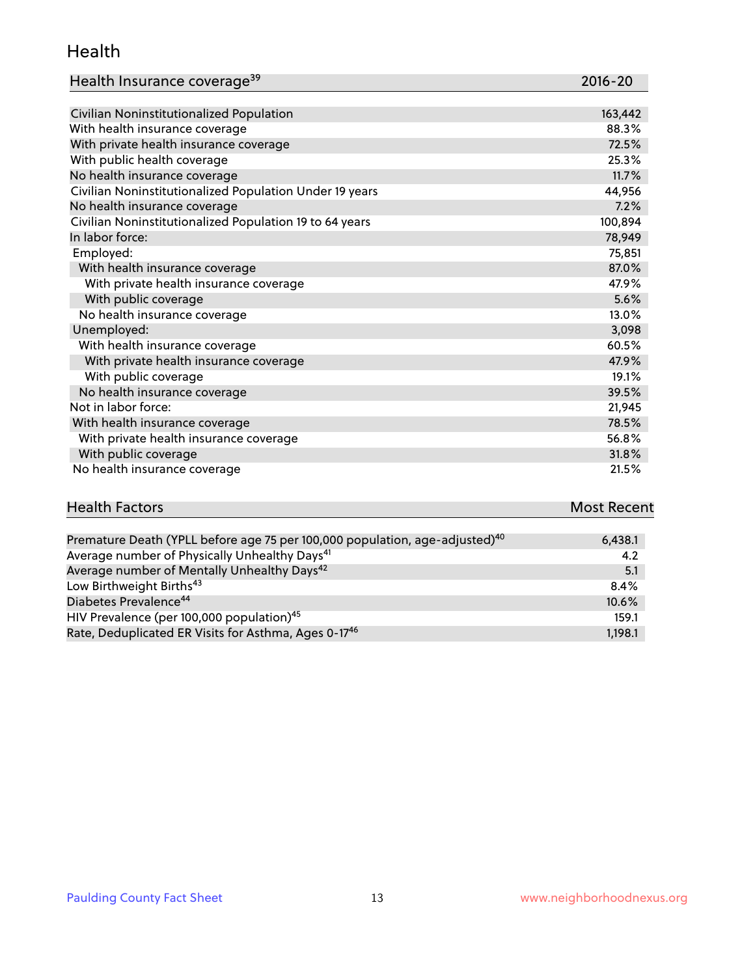#### Health

| Health Insurance coverage <sup>39</sup>                 | 2016-20 |
|---------------------------------------------------------|---------|
|                                                         |         |
| Civilian Noninstitutionalized Population                | 163,442 |
| With health insurance coverage                          | 88.3%   |
| With private health insurance coverage                  | 72.5%   |
| With public health coverage                             | 25.3%   |
| No health insurance coverage                            | 11.7%   |
| Civilian Noninstitutionalized Population Under 19 years | 44,956  |
| No health insurance coverage                            | 7.2%    |
| Civilian Noninstitutionalized Population 19 to 64 years | 100,894 |
| In labor force:                                         | 78,949  |
| Employed:                                               | 75,851  |
| With health insurance coverage                          | 87.0%   |
| With private health insurance coverage                  | 47.9%   |
| With public coverage                                    | 5.6%    |
| No health insurance coverage                            | 13.0%   |
| Unemployed:                                             | 3,098   |
| With health insurance coverage                          | 60.5%   |
| With private health insurance coverage                  | 47.9%   |
| With public coverage                                    | 19.1%   |

| With private health insurance coverage | 47.9%  |
|----------------------------------------|--------|
| With public coverage                   | 19.1%  |
| No health insurance coverage           | 39.5%  |
| Not in labor force:                    | 21,945 |
| With health insurance coverage         | 78.5%  |
| With private health insurance coverage | 56.8%  |
| With public coverage                   | 31.8%  |
| No health insurance coverage           | 21.5%  |

| <b>Health Factors</b> | <b>Most Recent</b> |
|-----------------------|--------------------|
|                       |                    |

| Premature Death (YPLL before age 75 per 100,000 population, age-adjusted) <sup>40</sup> | 6,438.1 |
|-----------------------------------------------------------------------------------------|---------|
| Average number of Physically Unhealthy Days <sup>41</sup>                               | 4.2     |
| Average number of Mentally Unhealthy Days <sup>42</sup>                                 | 5.1     |
| Low Birthweight Births <sup>43</sup>                                                    | $8.4\%$ |
| Diabetes Prevalence <sup>44</sup>                                                       | 10.6%   |
| HIV Prevalence (per 100,000 population) <sup>45</sup>                                   | 159.1   |
| Rate, Deduplicated ER Visits for Asthma, Ages 0-17 <sup>46</sup>                        | 1,198.1 |